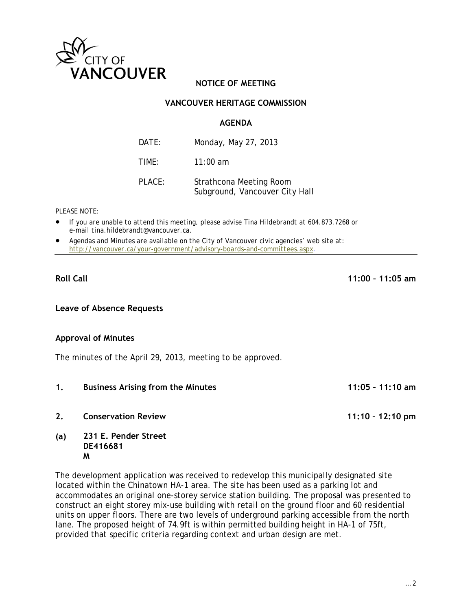

# **NOTICE OF MEETING**

# **VANCOUVER HERITAGE COMMISSION**

# **AGENDA**

| DATE:  | Monday, May 27, 2013                                      |
|--------|-----------------------------------------------------------|
| TIMF:  | $11:00$ am                                                |
| PLACE: | Strathcona Meeting Room<br>Subground, Vancouver City Hall |

#### *PLEASE NOTE:*

- *If you are unable to attend this meeting, please advise Tina Hildebrandt at 604.873.7268 or e-mail tina.hildebrandt@vancouver.ca*.
- *Agendas and Minutes are available on the City of Vancouver civic agencies' web site at: http://vancouver.ca/your-government/advisory-boards-and-committees.aspx*.

#### **Roll Call 11:00 – 11:05 am**

**Leave of Absence Requests** 

# **Approval of Minutes**

The minutes of the April 29, 2013, meeting to be approved.

**1. Business Arising from the Minutes 11:05 – 11:10 am 2. Conservation Review 11:10 – 12:10 pm (a) 231 E. Pender Street DE416681 M** 

The development application was received to redevelop this municipally designated site located within the Chinatown HA-1 area. The site has been used as a parking lot and accommodates an original one-storey service station building. The proposal was presented to construct an eight storey mix-use building with retail on the ground floor and 60 residential units on upper floors. There are two levels of underground parking accessible from the north lane. The proposed height of 74.9ft is within permitted building height in HA-1 of 75ft, provided that specific criteria regarding context and urban design are met.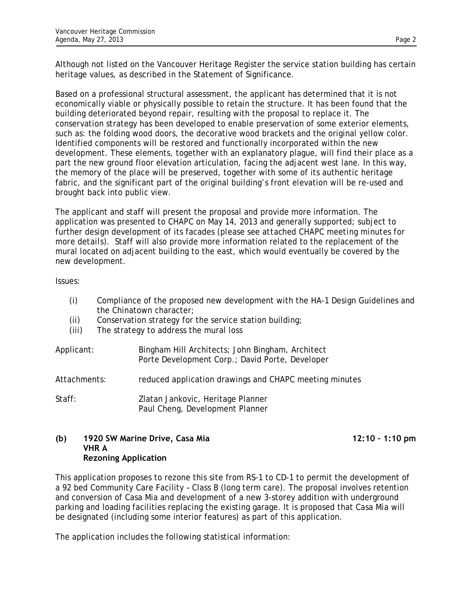Although not listed on the Vancouver Heritage Register the service station building has certain heritage values, as described in the Statement of Significance.

Based on a professional structural assessment, the applicant has determined that it is not economically viable or physically possible to retain the structure. It has been found that the building deteriorated beyond repair, resulting with the proposal to replace it. The conservation strategy has been developed to enable preservation of some exterior elements, such as: the folding wood doors, the decorative wood brackets and the original yellow color. Identified components will be restored and functionally incorporated within the new development. These elements, together with an explanatory plague, will find their place as a part the new ground floor elevation articulation, facing the adjacent west lane. In this way, the memory of the place will be preserved, together with some of its authentic heritage fabric, and the significant part of the original building's front elevation will be re-used and brought back into public view.

The applicant and staff will present the proposal and provide more information. The application was presented to CHAPC on May 14, 2013 and generally supported; subject to further design development of its facades *(please see attached CHAPC meeting minutes for more details)*. Staff will also provide more information related to the replacement of the mural located on adjacent building to the east, which would eventually be covered by the new development.

Issues:

- (i) Compliance of the proposed new development with the HA-1 Design Guidelines and the Chinatown character;
- (ii) Conservation strategy for the service station building;
- (iii) The strategy to address the mural loss

| Applicant:   | Bingham Hill Architects; John Bingham, Architect<br>Porte Development Corp.; David Porte, Developer |
|--------------|-----------------------------------------------------------------------------------------------------|
| Attachments: | reduced application drawings and CHAPC meeting minutes                                              |
| Staff:       | Zlatan Jankovic, Heritage Planner<br>Paul Cheng, Development Planner                                |

### **(b)** 1920 SW Marine Drive, Casa Mia 12:10 – 1:10 pm **VHR A Rezoning Application**

This application proposes to rezone this site from RS-1 to CD-1 to permit the development of a 92 bed Community Care Facility – Class B (long term care). The proposal involves retention and conversion of Casa Mia and development of a new 3-storey addition with underground parking and loading facilities replacing the existing garage. It is proposed that Casa Mia will be designated (including some interior features) as part of this application.

The application includes the following statistical information: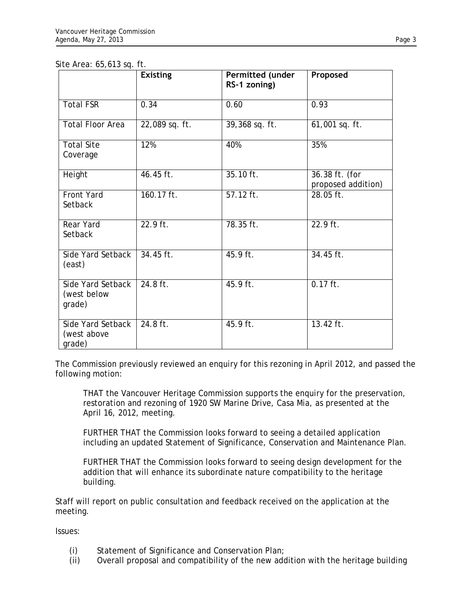|                                            | <b>Existing</b> | Permitted (under<br>RS-1 zoning) | Proposed                             |
|--------------------------------------------|-----------------|----------------------------------|--------------------------------------|
| <b>Total FSR</b>                           | 0.34            | 0.60                             | 0.93                                 |
| <b>Total Floor Area</b>                    | 22,089 sq. ft.  | $39,368$ sq. ft.                 | 61,001 sq. ft.                       |
| <b>Total Site</b><br>Coverage              | 12%             | 40%                              | 35%                                  |
| Height                                     | 46.45 ft.       | 35.10 ft.                        | 36.38 ft. (for<br>proposed addition) |
| <b>Front Yard</b><br>Setback               | $160.17$ ft.    | $57.12$ ft.                      | 28.05 ft.                            |
| <b>Rear Yard</b><br>Setback                | 22.9 ft.        | 78.35 ft.                        | 22.9 ft.                             |
| Side Yard Setback<br>(east)                | $34.45$ ft.     | 45.9 ft.                         | 34.45 ft.                            |
| Side Yard Setback<br>(west below<br>grade) | 24.8 ft.        | 45.9 ft.                         | $0.17$ ft.                           |
| Side Yard Setback<br>(west above<br>grade) | $24.8$ ft.      | $45.9$ ft.                       | $13.42$ ft.                          |

The Commission previously reviewed an enquiry for this rezoning in April 2012, and passed the following motion:

THAT the Vancouver Heritage Commission supports the enquiry for the preservation, restoration and rezoning of 1920 SW Marine Drive, Casa Mia, as presented at the April 16, 2012, meeting.

FURTHER THAT the Commission looks forward to seeing a detailed application including an updated Statement of Significance, Conservation and Maintenance Plan.

FURTHER THAT the Commission looks forward to seeing design development for the addition that will enhance its subordinate nature compatibility to the heritage building.

Staff will report on public consultation and feedback received on the application at the meeting.

Issues:

- (i) Statement of Significance and Conservation Plan;
- (ii) Overall proposal and compatibility of the new addition with the heritage building